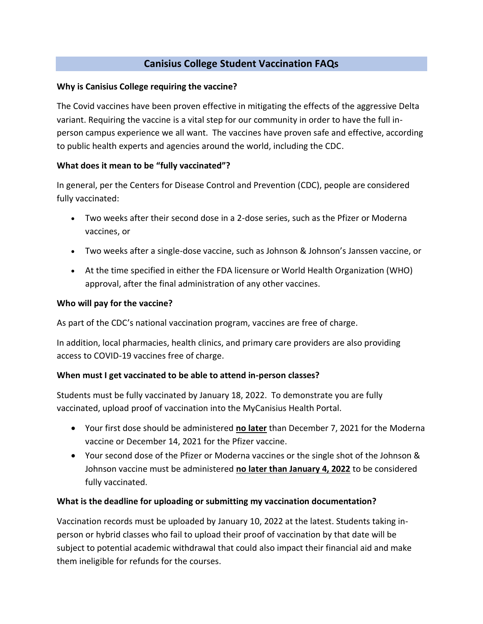### **Canisius College Student Vaccination FAQs**

#### **Why is Canisius College requiring the vaccine?**

The Covid vaccines have been proven effective in mitigating the effects of the aggressive Delta variant. Requiring the vaccine is a vital step for our community in order to have the full inperson campus experience we all want. The vaccines have proven safe and effective, according to public health experts and agencies around the world, including the CDC.

### **What does it mean to be "fully vaccinated"?**

In general, per the Centers for Disease Control and Prevention (CDC), people are considered fully vaccinated:

- Two weeks after their second dose in a 2-dose series, such as the Pfizer or Moderna vaccines, or
- Two weeks after a single-dose vaccine, such as Johnson & Johnson's Janssen vaccine, or
- At the time specified in either the FDA licensure or World Health Organization (WHO) approval, after the final administration of any other vaccines.

#### **Who will pay for the vaccine?**

As part of the CDC's national vaccination program, vaccines are free of charge.

In addition, local pharmacies, health clinics, and primary care providers are also providing access to COVID-19 vaccines free of charge.

### **When must I get vaccinated to be able to attend in-person classes?**

Students must be fully vaccinated by January 18, 2022. To demonstrate you are fully vaccinated, upload proof of vaccination into the MyCanisius Health Portal.

- Your first dose should be administered **no later** than December 7, 2021 for the Moderna vaccine or December 14, 2021 for the Pfizer vaccine.
- Your second dose of the Pfizer or Moderna vaccines or the single shot of the Johnson & Johnson vaccine must be administered **no later than January 4, 2022** to be considered fully vaccinated.

#### **What is the deadline for uploading or submitting my vaccination documentation?**

Vaccination records must be uploaded by January 10, 2022 at the latest. Students taking inperson or hybrid classes who fail to upload their proof of vaccination by that date will be subject to potential academic withdrawal that could also impact their financial aid and make them ineligible for refunds for the courses.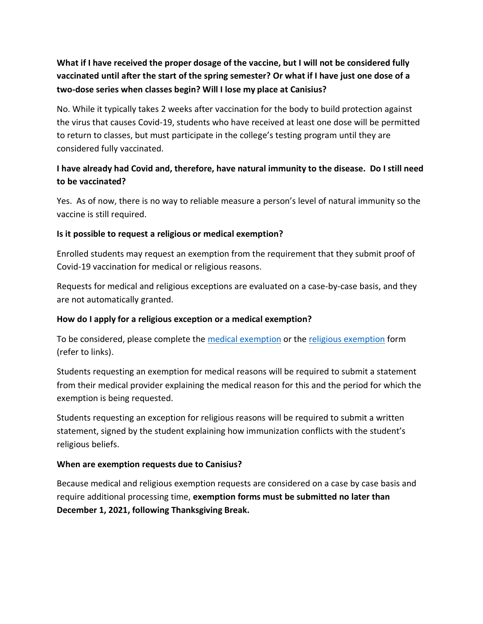# **What if I have received the proper dosage of the vaccine, but I will not be considered fully vaccinated until after the start of the spring semester? Or what if I have just one dose of a two-dose series when classes begin? Will I lose my place at Canisius?**

No. While it typically takes 2 weeks after vaccination for the body to build protection against the virus that causes Covid-19, students who have received at least one dose will be permitted to return to classes, but must participate in the college's testing program until they are considered fully vaccinated.

### **I have already had Covid and, therefore, have natural immunity to the disease. Do I still need to be vaccinated?**

Yes. As of now, there is no way to reliable measure a person's level of natural immunity so the vaccine is still required.

### **Is it possible to request a religious or medical exemption?**

Enrolled students may request an exemption from the requirement that they submit proof of Covid-19 vaccination for medical or religious reasons.

Requests for medical and religious exceptions are evaluated on a case-by-case basis, and they are not automatically granted.

### **How do I apply for a religious exception or a medical exemption?**

To be considered, please complete the [medical exemption](https://www.canisius.edu/sites/default/files/%2A/medical_exemption_from_vaccine_mandate.pdf) or the [religious exemption](https://www.canisius.edu/sites/default/files/%2A/student_religious_exemption_form_can.pdf) form (refer to links).

Students requesting an exemption for medical reasons will be required to submit a statement from their medical provider explaining the medical reason for this and the period for which the exemption is being requested.

Students requesting an exception for religious reasons will be required to submit a written statement, signed by the student explaining how immunization conflicts with the student's religious beliefs.

### **When are exemption requests due to Canisius?**

Because medical and religious exemption requests are considered on a case by case basis and require additional processing time, **exemption forms must be submitted no later than December 1, 2021, following Thanksgiving Break.**